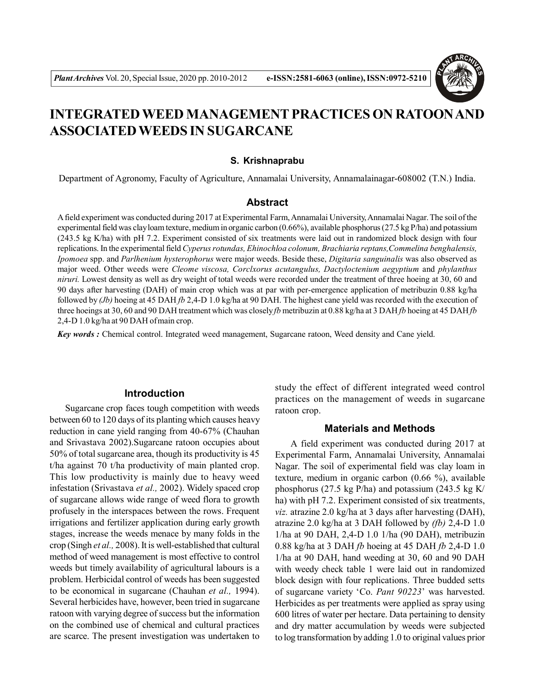

# **INTEGRATED WEED MANAGEMENT PRACTICES ON RATOON AND ASSOCIATED WEEDS IN SUGARCANE**

#### **S. Krishnaprabu**

Department of Agronomy, Faculty of Agriculture, Annamalai University, Annamalainagar-608002 (T.N.) India.

#### **Abstract**

A field experiment was conducted during 2017 at Experimental Farm, Annamalai University, Annamalai Nagar. The soil of the experimental field was clay loam texture, medium in organic carbon (0.66%), available phosphorus (27.5 kg P/ha) and potassium (243.5 kg K/ha) with pH 7.2. Experiment consisted of six treatments were laid out in randomized block design with four replications. In the experimental field *Cyperus rotundas, Ehinochloa colonum, Brachiaria reptans,Commelina benghalensis, Ipomoea* spp. and *Parlhenium hysterophorus* were major weeds. Beside these, *Digitaria sanguinalis* was also observed as major weed. Other weeds were *Cleome viscosa, Corclxorus acutangulus, Dactyloctenium aegyptium* and *phylanthus niruri.* Lowest density as well as dry weight of total weeds were recorded under the treatment of three hoeing at 30, 60 and 90 days after harvesting (DAH) of main crop which was at par with per-emergence application of metribuzin 0.88 kg/ha followed by *(Jb)* hoeing at 45 DAH *fb* 2,4-D 1.0 kg/ha at 90 DAH. The highest cane yield was recorded with the execution of three hoeings at 30, 60 and 90 DAH treatment which was closely *fb* metribuzin at 0.88 kg/ha at 3 DAH *fb* hoeing at 45 DAH *fb* 2,4-D 1.0 kg/ha at 90 DAH of main crop.

*Key words :* Chemical control. Integrated weed management, Sugarcane ratoon, Weed density and Cane yield.

## **Introduction**

Sugarcane crop faces tough competition with weeds between 60 to 120 days of its planting which causes heavy reduction in cane yield ranging from 40-67% (Chauhan and Srivastava 2002).Sugarcane ratoon occupies about 50% of total sugarcane area, though its productivity is 45 t/ha against 70 t/ha productivity of main planted crop. This low productivity is mainly due to heavy weed infestation (Srivastava *et al.,* 2002). Widely spaced crop of sugarcane allows wide range of weed flora to growth profusely in the interspaces between the rows. Frequent irrigations and fertilizer application during early growth stages, increase the weeds menace by many folds in the crop (Singh *et al.,* 2008). It is well-established that cultural method of weed management is most effective to control weeds but timely availability of agricultural labours is a problem. Herbicidal control of weeds has been suggested to be economical in sugarcane (Chauhan *et al.,* 1994). Several herbicides have, however, been tried in sugarcane ratoon with varying degree of success but the information on the combined use of chemical and cultural practices are scarce. The present investigation was undertaken to study the effect of different integrated weed control practices on the management of weeds in sugarcane ratoon crop.

## **Materials and Methods**

A field experiment was conducted during 2017 at Experimental Farm, Annamalai University, Annamalai Nagar. The soil of experimental field was clay loam in texture, medium in organic carbon (0.66 %), available phosphorus (27.5 kg P/ha) and potassium (243.5 kg K/ ha) with pH 7.2. Experiment consisted of six treatments, *viz.* atrazine 2.0 kg/ha at 3 days after harvesting (DAH), atrazine 2.0 kg/ha at 3 DAH followed by *(fb)* 2,4-D 1.0 1/ha at 90 DAH, 2,4-D 1.0 1/ha (90 DAH), metribuzin 0.88 kg/ha at 3 DAH *fb* hoeing at 45 DAH *fb* 2,4-D 1.0 1/ha at 90 DAH, hand weeding at 30, 60 and 90 DAH with weedy check table 1 were laid out in randomized block design with four replications. Three budded setts of sugarcane variety 'Co. *Pant 90223*' was harvested. Herbicides as per treatments were applied as spray using 600 litres of water per hectare. Data pertaining to density and dry matter accumulation by weeds were subjected to log transformation by adding 1.0 to original values prior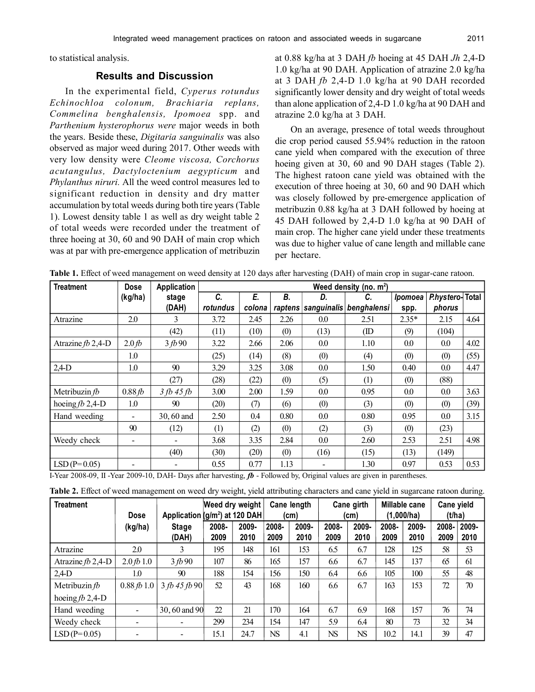to statistical analysis.

## **Results and Discussion**

In the experimental field, *Cyperus rotundus Echinochloa colonum, Brachiaria replans, Commelina benghalensis, Ipomoea* spp. and *Parthenium hysterophorus were* major weeds in both the years. Beside these, *Digitaria sanguinalis* was also observed as major weed during 2017. Other weeds with very low density were *Cleome viscosa, Corchorus acutangulus, Dactyloctenium aegypticum* and *Phylanthus niruri.* All the weed control measures led to significant reduction in density and dry matter accumulation by total weeds during both tire years (Table 1). Lowest density table 1 as well as dry weight table 2 of total weeds were recorded under the treatment of three hoeing at 30, 60 and 90 DAH of main crop which was at par with pre-emergence application of metribuzin

at 0.88 kg/ha at 3 DAH *fb* hoeing at 45 DAH *Jh* 2,4-D 1.0 kg/ha at 90 DAH. Application of atrazine 2.0 kg/ha at 3 DAH *fb* 2,4-D 1.0 kg/ha at 90 DAH recorded significantly lower density and dry weight of total weeds than alone application of 2,4-D 1.0 kg/ha at 90 DAH and atrazine 2.0 kg/ha at 3 DAH.

On an average, presence of total weeds throughout die crop period caused 55.94% reduction in the ratoon cane yield when compared with the execution of three hoeing given at 30, 60 and 90 DAH stages (Table 2). The highest ratoon cane yield was obtained with the execution of three hoeing at 30, 60 and 90 DAH which was closely followed by pre-emergence application of metribuzin 0.88 kg/ha at 3 DAH followed by hoeing at 45 DAH followed by 2,4-D 1.0 kg/ha at 90 DAH of main crop. The higher cane yield under these treatments was due to higher value of cane length and millable cane per hectare.

| <b>Treatment</b>    | <b>Dose</b>              | Application    | Weed density (no. m <sup>2</sup> ) |        |      |      |                                 |                       |                |      |  |
|---------------------|--------------------------|----------------|------------------------------------|--------|------|------|---------------------------------|-----------------------|----------------|------|--|
|                     | (kg/ha)                  | stage          | C.                                 | Е.     | В.   | D.   | C.                              | <i><b>Ipomoea</b></i> | Phystero-Total |      |  |
|                     |                          | (DAH)          | rotundus                           | colona |      |      | raptens sanguinalis benghalensi | spp.                  | phorus         |      |  |
| Atrazine            | 2.0                      | 3              | 3.72                               | 2.45   | 2.26 | 0.0  | 2.51                            | $2.35*$               | 2.15           | 4.64 |  |
|                     |                          | (42)           | (11)                               | (10)   | (0)  | (13) | (ID                             | (9)                   | (104)          |      |  |
| Atrazine $fb$ 2,4-D | 2.0 <sub>b</sub>         | 3fb90          | 3.22                               | 2.66   | 2.06 | 0.0  | 1.10                            | 0.0                   | 0.0            | 4.02 |  |
|                     | 1.0                      |                | (25)                               | (14)   | (8)  | (0)  | (4)                             | (0)                   | (0)            | (55) |  |
| $2,4$ -D            | 1.0                      | 90             | 3.29                               | 3.25   | 3.08 | 0.0  | 1.50                            | 0.40                  | 0.0            | 4.47 |  |
|                     |                          | (27)           | (28)                               | (22)   | (0)  | (5)  | (1)                             | (0)                   | (88)           |      |  |
| Metribuzin $fb$     | 0.88fb                   | $3 fb$ 45 $fb$ | 3.00                               | 2.00   | 1.59 | 0.0  | 0.95                            | $0.0\,$               | 0.0            | 3.63 |  |
| hoeing $fb$ 2,4-D   | 1.0                      | 90             | (20)                               | (7)    | (6)  | (0)  | (3)                             | (0)                   | (0)            | (39) |  |
| Hand weeding        | $\blacksquare$           | 30, 60 and     | 2.50                               | 0.4    | 0.80 | 0.0  | 0.80                            | 0.95                  | 0.0            | 3.15 |  |
|                     | 90                       | (12)           | (1)                                | (2)    | (0)  | (2)  | (3)                             | (0)                   | (23)           |      |  |
| Weedy check         | $\overline{\phantom{a}}$ |                | 3.68                               | 3.35   | 2.84 | 0.0  | 2.60                            | 2.53                  | 2.51           | 4.98 |  |
|                     |                          | (40)           | (30)                               | (20)   | (0)  | (16) | (15)                            | (13)                  | (149)          |      |  |
| $LSD(P=0.05)$       |                          |                | 0.55                               | 0.77   | 1.13 |      | 1.30                            | 0.97                  | 0.53           | 0.53 |  |

**Table 1.** Effect of weed management on weed density at 120 days after harvesting (DAH) of main crop in sugar-cane ratoon.

I-Year 2008-09, II -Year 2009-10, DAH- Days after harvesting, *fb* - Followed by, Original values are given in parentheses.

| Table 2. Effect of weed management on weed dry weight, yield attributing characters and cane yield in sugarcane ratoon during. |  |  |  |  |
|--------------------------------------------------------------------------------------------------------------------------------|--|--|--|--|
|--------------------------------------------------------------------------------------------------------------------------------|--|--|--|--|

| <b>Treatment</b>    | <b>Dose</b>              |                       | Weed dry weight<br>Application (g/m <sup>2</sup> ) at 120 DAH |               | Cane length<br>(cm) |               | Cane girth<br>(cm) |               | Millable cane<br>(1,000/ha) |               | Cane yield<br>(t/ha) |               |
|---------------------|--------------------------|-----------------------|---------------------------------------------------------------|---------------|---------------------|---------------|--------------------|---------------|-----------------------------|---------------|----------------------|---------------|
|                     | (kg/ha)                  | <b>Stage</b><br>(DAH) | 2008-<br>2009                                                 | 2009-<br>2010 | 2008-<br>2009       | 2009-<br>2010 | 2008-<br>2009      | 2009-<br>2010 | 2008-<br>2009               | 2009-<br>2010 | 2008-<br>2009        | 2009-<br>2010 |
| Atrazine            | 2.0                      | 3                     | 195                                                           | 148           | 161                 | 153           | 6.5                | 6.7           | 128                         | 125           | 58                   | 53            |
| Atrazine $fb$ 2,4-D | 2.0fb1.0                 | 3fb90                 | 107                                                           | 86            | 165                 | 157           | 6.6                | 6.7           | 145                         | 137           | 65                   | 61            |
| $2,4$ D             | 1.0                      | 90                    | 188                                                           | 154           | 156                 | 150           | 6.4                | 6.6           | 105                         | 100           | 55                   | 48            |
| Metribuzin $fb$     | 0.88 fb 1.0              | 3 fb 45 fb 90         | 52                                                            | 43            | 168                 | 160           | 6.6                | 6.7           | 163                         | 153           | 72                   | 70            |
| hoeing $fb$ 2,4-D   |                          |                       |                                                               |               |                     |               |                    |               |                             |               |                      |               |
| Hand weeding        | $\overline{\phantom{a}}$ | 30, 60 and 90         | $\mathfrak{D}$                                                | 21            | 170                 | 164           | 6.7                | 6.9           | 168                         | 157           | 76                   | 74            |
| Weedy check         |                          |                       | 299                                                           | 234           | 154                 | 147           | 5.9                | 6.4           | 80                          | 73            | 32                   | 34            |
| $LSD(P=0.05)$       |                          |                       | 15.1                                                          | 24.7          | <b>NS</b>           | 4.1           | <b>NS</b>          | <b>NS</b>     | 10.2                        | 14.1          | 39                   | 47            |